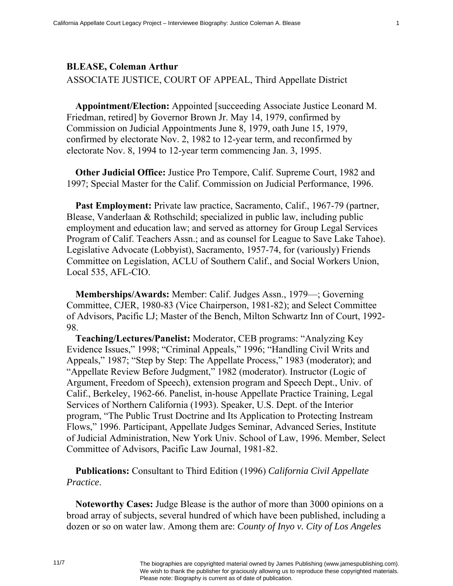## **BLEASE, Coleman Arthur**

ASSOCIATE JUSTICE, COURT OF APPEAL, Third Appellate District

**Appointment/Election:** Appointed [succeeding Associate Justice Leonard M. Friedman, retired] by Governor Brown Jr. May 14, 1979, confirmed by Commission on Judicial Appointments June 8, 1979, oath June 15, 1979, confirmed by electorate Nov. 2, 1982 to 12-year term, and reconfirmed by electorate Nov. 8, 1994 to 12-year term commencing Jan. 3, 1995.

**Other Judicial Office:** Justice Pro Tempore, Calif. Supreme Court, 1982 and 1997; Special Master for the Calif. Commission on Judicial Performance, 1996.

**Past Employment:** Private law practice, Sacramento, Calif., 1967-79 (partner, Blease, Vanderlaan & Rothschild; specialized in public law, including public employment and education law; and served as attorney for Group Legal Services Program of Calif. Teachers Assn.; and as counsel for League to Save Lake Tahoe). Legislative Advocate (Lobbyist), Sacramento, 1957-74, for (variously) Friends Committee on Legislation, ACLU of Southern Calif., and Social Workers Union, Local 535, AFL-CIO.

**Memberships/Awards:** Member: Calif. Judges Assn., 1979—; Governing Committee, CJER, 1980-83 (Vice Chairperson, 1981-82); and Select Committee of Advisors, Pacific LJ; Master of the Bench, Milton Schwartz Inn of Court, 1992- 98.

**Teaching/Lectures/Panelist:** Moderator, CEB programs: "Analyzing Key Evidence Issues," 1998; "Criminal Appeals," 1996; "Handling Civil Writs and Appeals," 1987; "Step by Step: The Appellate Process," 1983 (moderator); and "Appellate Review Before Judgment," 1982 (moderator). Instructor (Logic of Argument, Freedom of Speech), extension program and Speech Dept., Univ. of Calif., Berkeley, 1962-66. Panelist, in-house Appellate Practice Training, Legal Services of Northern California (1993). Speaker, U.S. Dept. of the Interior program, "The Public Trust Doctrine and Its Application to Protecting Instream Flows," 1996. Participant, Appellate Judges Seminar, Advanced Series, Institute of Judicial Administration, New York Univ. School of Law, 1996. Member, Select Committee of Advisors, Pacific Law Journal, 1981-82.

**Publications:** Consultant to Third Edition (1996) *California Civil Appellate Practice*.

**Noteworthy Cases:** Judge Blease is the author of more than 3000 opinions on a broad array of subjects, several hundred of which have been published, including a dozen or so on water law. Among them are: *County of Inyo v. City of Los Angeles*